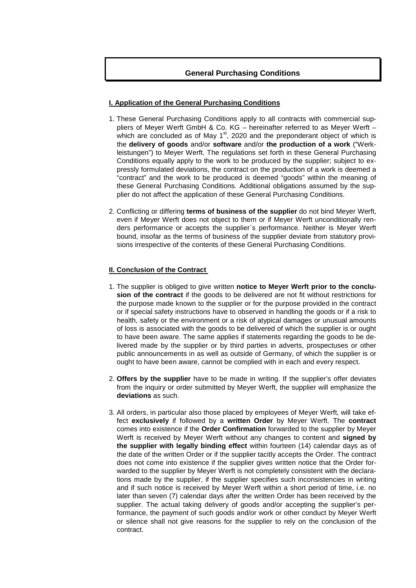# **General Purchasing Conditions**

# **I. Application of the General Purchasing Conditions**

- 1. These General Purchasing Conditions apply to all contracts with commercial suppliers of Meyer Werft GmbH & Co. KG – hereinafter referred to as Meyer Werft – which are concluded as of May  $1<sup>st</sup>$ , 2020 and the preponderant object of which is the **delivery of goods** and/or **software** and/or **the production of a work** ("Werkleistungen") to Meyer Werft. The regulations set forth in these General Purchasing Conditions equally apply to the work to be produced by the supplier; subject to expressly formulated deviations, the contract on the production of a work is deemed a "contract" and the work to be produced is deemed "goods" within the meaning of these General Purchasing Conditions. Additional obligations assumed by the supplier do not affect the application of these General Purchasing Conditions.
- 2. Conflicting or differing **terms of business of the supplier** do not bind Meyer Werft, even if Meyer Werft does not object to them or if Meyer Werft unconditionally renders performance or accepts the supplier´s performance. Neither is Meyer Werft bound, insofar as the terms of business of the supplier deviate from statutory provisions irrespective of the contents of these General Purchasing Conditions.

# **II. Conclusion of the Contract**

- 1. The supplier is obliged to give written **notice to Meyer Werft prior to the conclusion of the contract** if the goods to be delivered are not fit without restrictions for the purpose made known to the supplier or for the purpose provided in the contract or if special safety instructions have to observed in handling the goods or if a risk to health, safety or the environment or a risk of atypical damages or unusual amounts of loss is associated with the goods to be delivered of which the supplier is or ought to have been aware. The same applies if statements regarding the goods to be delivered made by the supplier or by third parties in adverts, prospectuses or other public announcements in as well as outside of Germany, of which the supplier is or ought to have been aware, cannot be complied with in each and every respect.
- 2. **Offers by the supplier** have to be made in writing. If the supplier's offer deviates from the inquiry or order submitted by Meyer Werft, the supplier will emphasize the **deviations** as such.
- 3. All orders, in particular also those placed by employees of Meyer Werft, will take effect **exclusively** if followed by a **written Order** by Meyer Werft. The **contract**  comes into existence if the **Order Confirmation** forwarded to the supplier by Meyer Werft is received by Meyer Werft without any changes to content and **signed by the supplier with legally binding effect** within fourteen (14) calendar days as of the date of the written Order or if the supplier tacitly accepts the Order. The contract does not come into existence if the supplier gives written notice that the Order forwarded to the supplier by Meyer Werft is not completely consistent with the declarations made by the supplier, if the supplier specifies such inconsistencies in writing and if such notice is received by Meyer Werft within a short period of time, i.e. no later than seven (7) calendar days after the written Order has been received by the supplier. The actual taking delivery of goods and/or accepting the supplier's performance, the payment of such goods and/or work or other conduct by Meyer Werft or silence shall not give reasons for the supplier to rely on the conclusion of the contract.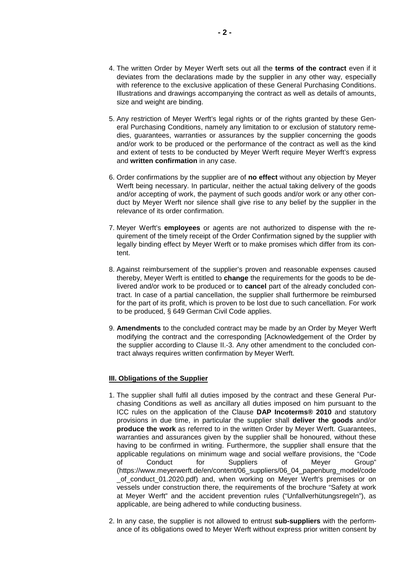- 4. The written Order by Meyer Werft sets out all the **terms of the contract** even if it deviates from the declarations made by the supplier in any other way, especially with reference to the exclusive application of these General Purchasing Conditions. Illustrations and drawings accompanying the contract as well as details of amounts, size and weight are binding.
- 5. Any restriction of Meyer Werft's legal rights or of the rights granted by these General Purchasing Conditions, namely any limitation to or exclusion of statutory remedies, guarantees, warranties or assurances by the supplier concerning the goods and/or work to be produced or the performance of the contract as well as the kind and extent of tests to be conducted by Meyer Werft require Meyer Werft's express and **written confirmation** in any case.
- 6. Order confirmations by the supplier are of **no effect** without any objection by Meyer Werft being necessary. In particular, neither the actual taking delivery of the goods and/or accepting of work, the payment of such goods and/or work or any other conduct by Meyer Werft nor silence shall give rise to any belief by the supplier in the relevance of its order confirmation.
- 7. Meyer Werft's **employees** or agents are not authorized to dispense with the requirement of the timely receipt of the Order Confirmation signed by the supplier with legally binding effect by Meyer Werft or to make promises which differ from its content.
- 8. Against reimbursement of the supplier's proven and reasonable expenses caused thereby, Meyer Werft is entitled to **change** the requirements for the goods to be delivered and/or work to be produced or to **cancel** part of the already concluded contract. In case of a partial cancellation, the supplier shall furthermore be reimbursed for the part of its profit, which is proven to be lost due to such cancellation. For work to be produced, § 649 German Civil Code applies.
- 9. **Amendments** to the concluded contract may be made by an Order by Meyer Werft modifying the contract and the corresponding [Acknowledgement of the Order by the supplier according to Clause II.-3. Any other amendment to the concluded contract always requires written confirmation by Meyer Werft.

# **III. Obligations of the Supplier**

- 1. The supplier shall fulfil all duties imposed by the contract and these General Purchasing Conditions as well as ancillary all duties imposed on him pursuant to the ICC rules on the application of the Clause **DAP Incoterms® 2010** and statutory provisions in due time, in particular the supplier shall **deliver the goods** and/or **produce the work** as referred to in the written Order by Meyer Werft. Guarantees, warranties and assurances given by the supplier shall be honoured, without these having to be confirmed in writing. Furthermore, the supplier shall ensure that the applicable regulations on minimum wage and social welfare provisions, the "Code of Conduct for Suppliers of Meyer Group" (https://www.meyerwerft.de/en/content/06\_suppliers/06\_04\_papenburg\_model/code \_of\_conduct\_01.2020.pdf) and, when working on Meyer Werft's premises or on vessels under construction there, the requirements of the brochure "Safety at work at Meyer Werft" and the accident prevention rules ("Unfallverhütungsregeln"), as applicable, are being adhered to while conducting business.
- 2. In any case, the supplier is not allowed to entrust **sub-suppliers** with the performance of its obligations owed to Meyer Werft without express prior written consent by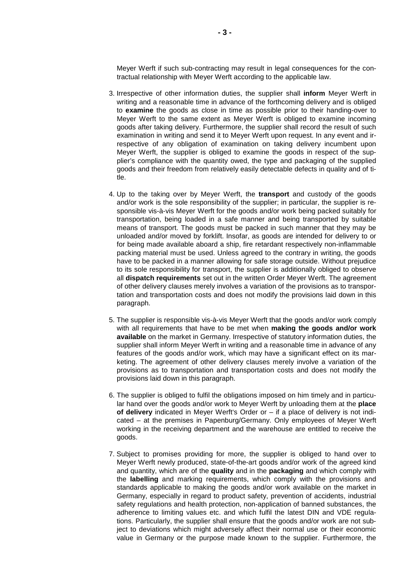Meyer Werft if such sub-contracting may result in legal consequences for the contractual relationship with Meyer Werft according to the applicable law.

- 3. Irrespective of other information duties, the supplier shall **inform** Meyer Werft in writing and a reasonable time in advance of the forthcoming delivery and is obliged to **examine** the goods as close in time as possible prior to their handing-over to Meyer Werft to the same extent as Meyer Werft is obliged to examine incoming goods after taking delivery. Furthermore, the supplier shall record the result of such examination in writing and send it to Meyer Werft upon request. In any event and irrespective of any obligation of examination on taking delivery incumbent upon Meyer Werft, the supplier is obliged to examine the goods in respect of the supplier's compliance with the quantity owed, the type and packaging of the supplied goods and their freedom from relatively easily detectable defects in quality and of title.
- 4. Up to the taking over by Meyer Werft, the **transport** and custody of the goods and/or work is the sole responsibility of the supplier; in particular, the supplier is responsible vis-à-vis Meyer Werft for the goods and/or work being packed suitably for transportation, being loaded in a safe manner and being transported by suitable means of transport. The goods must be packed in such manner that they may be unloaded and/or moved by forklift. Insofar, as goods are intended for delivery to or for being made available aboard a ship, fire retardant respectively non-inflammable packing material must be used. Unless agreed to the contrary in writing, the goods have to be packed in a manner allowing for safe storage outside. Without prejudice to its sole responsibility for transport, the supplier is additionally obliged to observe all **dispatch requirements** set out in the written Order Meyer Werft. The agreement of other delivery clauses merely involves a variation of the provisions as to transportation and transportation costs and does not modify the provisions laid down in this paragraph.
- 5. The supplier is responsible vis-à-vis Meyer Werft that the goods and/or work comply with all requirements that have to be met when **making the goods and/or work available** on the market in Germany. Irrespective of statutory information duties, the supplier shall inform Meyer Werft in writing and a reasonable time in advance of any features of the goods and/or work, which may have a significant effect on its marketing. The agreement of other delivery clauses merely involve a variation of the provisions as to transportation and transportation costs and does not modify the provisions laid down in this paragraph.
- 6. The supplier is obliged to fulfil the obligations imposed on him timely and in particular hand over the goods and/or work to Meyer Werft by unloading them at the **place of delivery** indicated in Meyer Werft's Order or – if a place of delivery is not indicated – at the premises in Papenburg/Germany. Only employees of Meyer Werft working in the receiving department and the warehouse are entitled to receive the goods.
- 7. Subject to promises providing for more, the supplier is obliged to hand over to Meyer Werft newly produced, state-of-the-art goods and/or work of the agreed kind and quantity, which are of the **quality** and in the **packaging** and which comply with the **labelling** and marking requirements, which comply with the provisions and standards applicable to making the goods and/or work available on the market in Germany, especially in regard to product safety, prevention of accidents, industrial safety regulations and health protection, non-application of banned substances, the adherence to limiting values etc. and which fulfil the latest DIN and VDE regulations. Particularly, the supplier shall ensure that the goods and/or work are not subject to deviations which might adversely affect their normal use or their economic value in Germany or the purpose made known to the supplier. Furthermore, the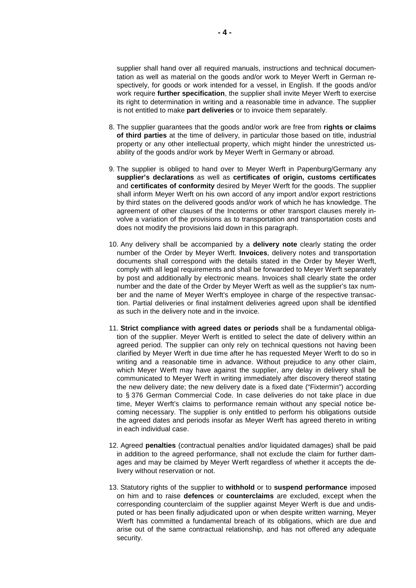supplier shall hand over all required manuals, instructions and technical documentation as well as material on the goods and/or work to Meyer Werft in German respectively, for goods or work intended for a vessel, in English. If the goods and/or work require **further specification**, the supplier shall invite Meyer Werft to exercise its right to determination in writing and a reasonable time in advance. The supplier is not entitled to make **part deliveries** or to invoice them separately.

- 8. The supplier guarantees that the goods and/or work are free from **rights or claims of third parties** at the time of delivery, in particular those based on title, industrial property or any other intellectual property, which might hinder the unrestricted usability of the goods and/or work by Meyer Werft in Germany or abroad.
- 9. The supplier is obliged to hand over to Meyer Werft in Papenburg/Germany any **supplier's declarations** as well as **certificates of origin, customs certificates** and **certificates of conformity** desired by Meyer Werft for the goods. The supplier shall inform Meyer Werft on his own accord of any import and/or export restrictions by third states on the delivered goods and/or work of which he has knowledge. The agreement of other clauses of the Incoterms or other transport clauses merely involve a variation of the provisions as to transportation and transportation costs and does not modify the provisions laid down in this paragraph.
- 10. Any delivery shall be accompanied by a **delivery note** clearly stating the order number of the Order by Meyer Werft. **Invoices**, delivery notes and transportation documents shall correspond with the details stated in the Order by Meyer Werft, comply with all legal requirements and shall be forwarded to Meyer Werft separately by post and additionally by electronic means. Invoices shall clearly state the order number and the date of the Order by Meyer Werft as well as the supplier's tax number and the name of Meyer Werft's employee in charge of the respective transaction. Partial deliveries or final instalment deliveries agreed upon shall be identified as such in the delivery note and in the invoice.
- 11. **Strict compliance with agreed dates or periods** shall be a fundamental obligation of the supplier. Meyer Werft is entitled to select the date of delivery within an agreed period. The supplier can only rely on technical questions not having been clarified by Meyer Werft in due time after he has requested Meyer Werft to do so in writing and a reasonable time in advance. Without prejudice to any other claim, which Meyer Werft may have against the supplier, any delay in delivery shall be communicated to Meyer Werft in writing immediately after discovery thereof stating the new delivery date; the new delivery date is a fixed date ("Fixtermin") according to § 376 German Commercial Code. In case deliveries do not take place in due time, Meyer Werft's claims to performance remain without any special notice becoming necessary. The supplier is only entitled to perform his obligations outside the agreed dates and periods insofar as Meyer Werft has agreed thereto in writing in each individual case.
- 12. Agreed **penalties** (contractual penalties and/or liquidated damages) shall be paid in addition to the agreed performance, shall not exclude the claim for further damages and may be claimed by Meyer Werft regardless of whether it accepts the delivery without reservation or not.
- 13. Statutory rights of the supplier to **withhold** or to **suspend performance** imposed on him and to raise **defences** or **counterclaims** are excluded, except when the corresponding counterclaim of the supplier against Meyer Werft is due and undisputed or has been finally adjudicated upon or when despite written warning, Meyer Werft has committed a fundamental breach of its obligations, which are due and arise out of the same contractual relationship, and has not offered any adequate security.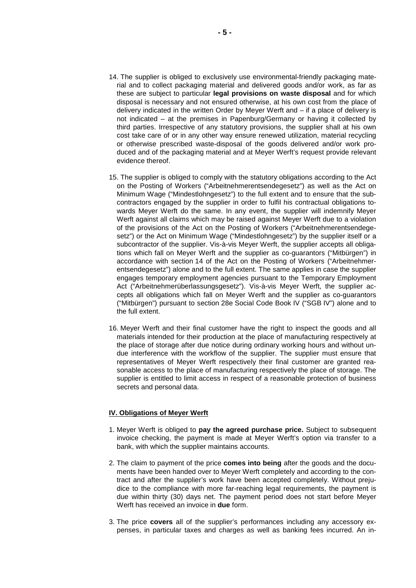- 14. The supplier is obliged to exclusively use environmental-friendly packaging material and to collect packaging material and delivered goods and/or work, as far as these are subject to particular **legal provisions on waste disposal** and for which disposal is necessary and not ensured otherwise, at his own cost from the place of delivery indicated in the written Order by Meyer Werft and – if a place of delivery is not indicated – at the premises in Papenburg/Germany or having it collected by third parties. Irrespective of any statutory provisions, the supplier shall at his own cost take care of or in any other way ensure renewed utilization, material recycling or otherwise prescribed waste-disposal of the goods delivered and/or work produced and of the packaging material and at Meyer Werft's request provide relevant evidence thereof.
- 15. The supplier is obliged to comply with the statutory obligations according to the Act on the Posting of Workers ("Arbeitnehmerentsendegesetz") as well as the Act on Minimum Wage ("Mindestlohngesetz") to the full extent and to ensure that the subcontractors engaged by the supplier in order to fulfil his contractual obligations towards Meyer Werft do the same. In any event, the supplier will indemnify Meyer Werft against all claims which may be raised against Meyer Werft due to a violation of the provisions of the Act on the Posting of Workers ("Arbeitnehmerentsendegesetz") or the Act on Minimum Wage ("Mindestlohngesetz") by the supplier itself or a subcontractor of the supplier. Vis-à-vis Meyer Werft, the supplier accepts all obligations which fall on Meyer Werft and the supplier as co-guarantors ("Mitbürgen") in accordance with section 14 of the Act on the Posting of Workers ("Arbeitnehmerentsendegesetz") alone and to the full extent. The same applies in case the supplier engages temporary employment agencies pursuant to the Temporary Employment Act ("Arbeitnehmerüberlassungsgesetz"). Vis-à-vis Meyer Werft, the supplier accepts all obligations which fall on Meyer Werft and the supplier as co-guarantors ("Mitbürgen") pursuant to section 28e Social Code Book IV ("SGB IV") alone and to the full extent.
- 16. Meyer Werft and their final customer have the right to inspect the goods and all materials intended for their production at the place of manufacturing respectively at the place of storage after due notice during ordinary working hours and without undue interference with the workflow of the supplier. The supplier must ensure that representatives of Meyer Werft respectively their final customer are granted reasonable access to the place of manufacturing respectively the place of storage. The supplier is entitled to limit access in respect of a reasonable protection of business secrets and personal data.

#### **IV. Obligations of Meyer Werft**

- 1. Meyer Werft is obliged to **pay the agreed purchase price.** Subject to subsequent invoice checking, the payment is made at Meyer Werft's option via transfer to a bank, with which the supplier maintains accounts.
- 2. The claim to payment of the price **comes into being** after the goods and the documents have been handed over to Meyer Werft completely and according to the contract and after the supplier's work have been accepted completely. Without prejudice to the compliance with more far-reaching legal requirements, the payment is due within thirty (30) days net. The payment period does not start before Meyer Werft has received an invoice in **due** form.
- 3. The price **covers** all of the supplier's performances including any accessory expenses, in particular taxes and charges as well as banking fees incurred. An in-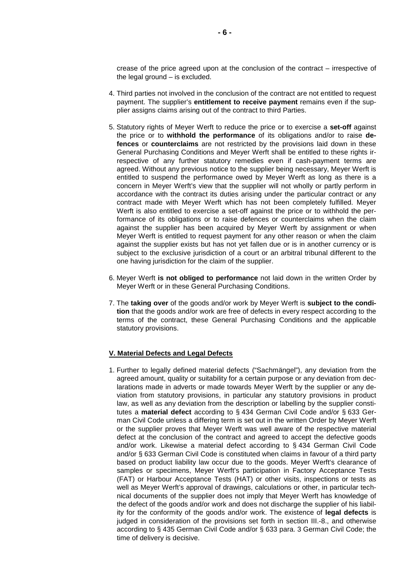crease of the price agreed upon at the conclusion of the contract – irrespective of the legal ground – is excluded.

- 4. Third parties not involved in the conclusion of the contract are not entitled to request payment. The supplier's **entitlement to receive payment** remains even if the supplier assigns claims arising out of the contract to third Parties.
- 5. Statutory rights of Meyer Werft to reduce the price or to exercise a **set-off** against the price or to **withhold the performance** of its obligations and/or to raise **defences** or **counterclaims** are not restricted by the provisions laid down in these General Purchasing Conditions and Meyer Werft shall be entitled to these rights irrespective of any further statutory remedies even if cash-payment terms are agreed. Without any previous notice to the supplier being necessary, Meyer Werft is entitled to suspend the performance owed by Meyer Werft as long as there is a concern in Meyer Werft's view that the supplier will not wholly or partly perform in accordance with the contract its duties arising under the particular contract or any contract made with Meyer Werft which has not been completely fulfilled. Meyer Werft is also entitled to exercise a set-off against the price or to withhold the performance of its obligations or to raise defences or counterclaims when the claim against the supplier has been acquired by Meyer Werft by assignment or when Meyer Werft is entitled to request payment for any other reason or when the claim against the supplier exists but has not yet fallen due or is in another currency or is subject to the exclusive jurisdiction of a court or an arbitral tribunal different to the one having jurisdiction for the claim of the supplier.
- 6. Meyer Werft **is not obliged to performance** not laid down in the written Order by Meyer Werft or in these General Purchasing Conditions.
- 7. The **taking over** of the goods and/or work by Meyer Werft is **subject to the condition** that the goods and/or work are free of defects in every respect according to the terms of the contract, these General Purchasing Conditions and the applicable statutory provisions.

#### **V. Material Defects and Legal Defects**

1. Further to legally defined material defects ("Sachmängel"), any deviation from the agreed amount, quality or suitability for a certain purpose or any deviation from declarations made in adverts or made towards Meyer Werft by the supplier or any deviation from statutory provisions, in particular any statutory provisions in product law, as well as any deviation from the description or labelling by the supplier constitutes a **material defect** according to § 434 German Civil Code and/or § 633 German Civil Code unless a differing term is set out in the written Order by Meyer Werft or the supplier proves that Meyer Werft was well aware of the respective material defect at the conclusion of the contract and agreed to accept the defective goods and/or work. Likewise a material defect according to § 434 German Civil Code and/or § 633 German Civil Code is constituted when claims in favour of a third party based on product liability law occur due to the goods. Meyer Werft's clearance of samples or specimens, Meyer Werft's participation in Factory Acceptance Tests (FAT) or Harbour Acceptance Tests (HAT) or other visits, inspections or tests as well as Meyer Werft's approval of drawings, calculations or other, in particular technical documents of the supplier does not imply that Meyer Werft has knowledge of the defect of the goods and/or work and does not discharge the supplier of his liability for the conformity of the goods and/or work. The existence of **legal defects** is judged in consideration of the provisions set forth in section III.-8., and otherwise according to § 435 German Civil Code and/or § 633 para. 3 German Civil Code; the time of delivery is decisive.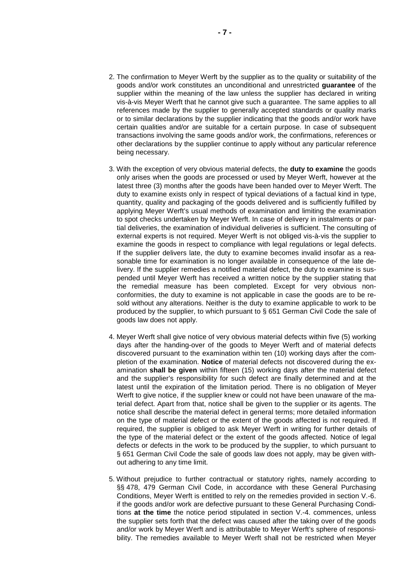- 2. The confirmation to Meyer Werft by the supplier as to the quality or suitability of the goods and/or work constitutes an unconditional and unrestricted **guarantee** of the supplier within the meaning of the law unless the supplier has declared in writing vis-à-vis Meyer Werft that he cannot give such a guarantee. The same applies to all references made by the supplier to generally accepted standards or quality marks or to similar declarations by the supplier indicating that the goods and/or work have certain qualities and/or are suitable for a certain purpose. In case of subsequent transactions involving the same goods and/or work, the confirmations, references or other declarations by the supplier continue to apply without any particular reference being necessary.
- 3. With the exception of very obvious material defects, the **duty to examine** the goods only arises when the goods are processed or used by Meyer Werft, however at the latest three (3) months after the goods have been handed over to Meyer Werft. The duty to examine exists only in respect of typical deviations of a factual kind in type, quantity, quality and packaging of the goods delivered and is sufficiently fulfilled by applying Meyer Werft's usual methods of examination and limiting the examination to spot checks undertaken by Meyer Werft. In case of delivery in instalments or partial deliveries, the examination of individual deliveries is sufficient. The consulting of external experts is not required. Meyer Werft is not obliged vis-à-vis the supplier to examine the goods in respect to compliance with legal regulations or legal defects. If the supplier delivers late, the duty to examine becomes invalid insofar as a reasonable time for examination is no longer available in consequence of the late delivery. If the supplier remedies a notified material defect, the duty to examine is suspended until Meyer Werft has received a written notice by the supplier stating that the remedial measure has been completed. Except for very obvious nonconformities, the duty to examine is not applicable in case the goods are to be resold without any alterations. Neither is the duty to examine applicable to work to be produced by the supplier, to which pursuant to § 651 German Civil Code the sale of goods law does not apply.
- 4. Meyer Werft shall give notice of very obvious material defects within five (5) working days after the handing-over of the goods to Meyer Werft and of material defects discovered pursuant to the examination within ten (10) working days after the completion of the examination. **Notice** of material defects not discovered during the examination **shall be given** within fifteen (15) working days after the material defect and the supplier's responsibility for such defect are finally determined and at the latest until the expiration of the limitation period. There is no obligation of Meyer Werft to give notice, if the supplier knew or could not have been unaware of the material defect. Apart from that, notice shall be given to the supplier or its agents. The notice shall describe the material defect in general terms; more detailed information on the type of material defect or the extent of the goods affected is not required. If required, the supplier is obliged to ask Meyer Werft in writing for further details of the type of the material defect or the extent of the goods affected. Notice of legal defects or defects in the work to be produced by the supplier, to which pursuant to § 651 German Civil Code the sale of goods law does not apply, may be given without adhering to any time limit.
- 5. Without prejudice to further contractual or statutory rights, namely according to §§ 478, 479 German Civil Code, in accordance with these General Purchasing Conditions, Meyer Werft is entitled to rely on the remedies provided in section V.-6. if the goods and/or work are defective pursuant to these General Purchasing Conditions **at the time** the notice period stipulated in section V.-4. commences, unless the supplier sets forth that the defect was caused after the taking over of the goods and/or work by Meyer Werft and is attributable to Meyer Werft's sphere of responsibility. The remedies available to Meyer Werft shall not be restricted when Meyer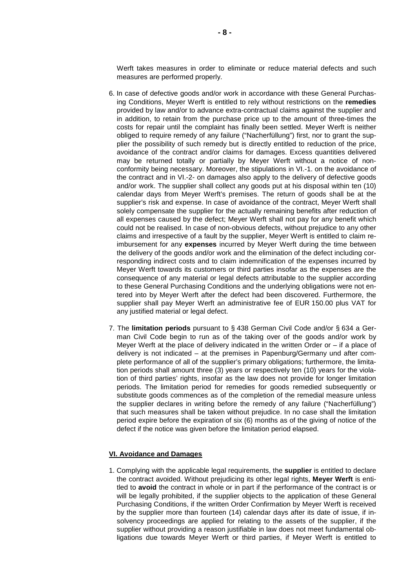Werft takes measures in order to eliminate or reduce material defects and such measures are performed properly.

- 6. In case of defective goods and/or work in accordance with these General Purchasing Conditions, Meyer Werft is entitled to rely without restrictions on the **remedies** provided by law and/or to advance extra-contractual claims against the supplier and in addition, to retain from the purchase price up to the amount of three-times the costs for repair until the complaint has finally been settled. Meyer Werft is neither obliged to require remedy of any failure ("Nacherfüllung") first, nor to grant the supplier the possibility of such remedy but is directly entitled to reduction of the price, avoidance of the contract and/or claims for damages. Excess quantities delivered may be returned totally or partially by Meyer Werft without a notice of nonconformity being necessary. Moreover, the stipulations in VI.-1. on the avoidance of the contract and in VI.-2- on damages also apply to the delivery of defective goods and/or work. The supplier shall collect any goods put at his disposal within ten (10) calendar days from Meyer Werft's premises. The return of goods shall be at the supplier's risk and expense. In case of avoidance of the contract, Meyer Werft shall solely compensate the supplier for the actually remaining benefits after reduction of all expenses caused by the defect; Meyer Werft shall not pay for any benefit which could not be realised. In case of non-obvious defects, without prejudice to any other claims and irrespective of a fault by the supplier, Meyer Werft is entitled to claim reimbursement for any **expenses** incurred by Meyer Werft during the time between the delivery of the goods and/or work and the elimination of the defect including corresponding indirect costs and to claim indemnification of the expenses incurred by Meyer Werft towards its customers or third parties insofar as the expenses are the consequence of any material or legal defects attributable to the supplier according to these General Purchasing Conditions and the underlying obligations were not entered into by Meyer Werft after the defect had been discovered. Furthermore, the supplier shall pay Meyer Werft an administrative fee of EUR 150.00 plus VAT for any justified material or legal defect.
- 7. The **limitation periods** pursuant to § 438 German Civil Code and/or § 634 a German Civil Code begin to run as of the taking over of the goods and/or work by Meyer Werft at the place of delivery indicated in the written Order or  $-$  if a place of delivery is not indicated – at the premises in Papenburg/Germany und after complete performance of all of the supplier's primary obligations; furthermore, the limitation periods shall amount three (3) years or respectively ten (10) years for the violation of third parties' rights, insofar as the law does not provide for longer limitation periods. The limitation period for remedies for goods remedied subsequently or substitute goods commences as of the completion of the remedial measure unless the supplier declares in writing before the remedy of any failure ("Nacherfüllung") that such measures shall be taken without prejudice. In no case shall the limitation period expire before the expiration of six (6) months as of the giving of notice of the defect if the notice was given before the limitation period elapsed.

### **VI. Avoidance and Damages**

1. Complying with the applicable legal requirements, the **supplier** is entitled to declare the contract avoided. Without prejudicing its other legal rights, **Meyer Werft** is entitled to **avoid** the contract in whole or in part if the performance of the contract is or will be legally prohibited, if the supplier objects to the application of these General Purchasing Conditions, if the written Order Confirmation by Meyer Werft is received by the supplier more than fourteen (14) calendar days after its date of issue, if insolvency proceedings are applied for relating to the assets of the supplier, if the supplier without providing a reason justifiable in law does not meet fundamental obligations due towards Meyer Werft or third parties, if Meyer Werft is entitled to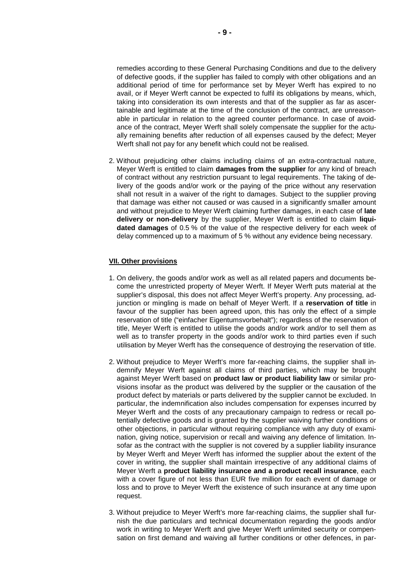remedies according to these General Purchasing Conditions and due to the delivery of defective goods, if the supplier has failed to comply with other obligations and an additional period of time for performance set by Meyer Werft has expired to no avail, or if Meyer Werft cannot be expected to fulfil its obligations by means, which, taking into consideration its own interests and that of the supplier as far as ascertainable and legitimate at the time of the conclusion of the contract, are unreasonable in particular in relation to the agreed counter performance. In case of avoidance of the contract, Meyer Werft shall solely compensate the supplier for the actually remaining benefits after reduction of all expenses caused by the defect; Meyer Werft shall not pay for any benefit which could not be realised.

2. Without prejudicing other claims including claims of an extra-contractual nature, Meyer Werft is entitled to claim **damages from the supplier** for any kind of breach of contract without any restriction pursuant to legal requirements. The taking of delivery of the goods and/or work or the paying of the price without any reservation shall not result in a waiver of the right to damages. Subject to the supplier proving that damage was either not caused or was caused in a significantly smaller amount and without prejudice to Meyer Werft claiming further damages, in each case of **late delivery or non-delivery** by the supplier, Meyer Werft is entitled to claim **liquidated damages** of 0.5 % of the value of the respective delivery for each week of delay commenced up to a maximum of 5 % without any evidence being necessary.

## **VII. Other provisions**

- 1. On delivery, the goods and/or work as well as all related papers and documents become the unrestricted property of Meyer Werft. If Meyer Werft puts material at the supplier's disposal, this does not affect Meyer Werft's property. Any processing, adjunction or mingling is made on behalf of Meyer Werft. If a **reservation of title** in favour of the supplier has been agreed upon, this has only the effect of a simple reservation of title ("einfacher Eigentumsvorbehalt"); regardless of the reservation of title, Meyer Werft is entitled to utilise the goods and/or work and/or to sell them as well as to transfer property in the goods and/or work to third parties even if such utilisation by Meyer Werft has the consequence of destroying the reservation of title.
- 2. Without prejudice to Meyer Werft's more far-reaching claims, the supplier shall indemnify Meyer Werft against all claims of third parties, which may be brought against Meyer Werft based on **product law or product liability law** or similar provisions insofar as the product was delivered by the supplier or the causation of the product defect by materials or parts delivered by the supplier cannot be excluded. In particular, the indemnification also includes compensation for expenses incurred by Meyer Werft and the costs of any precautionary campaign to redress or recall potentially defective goods and is granted by the supplier waiving further conditions or other objections, in particular without requiring compliance with any duty of examination, giving notice, supervision or recall and waiving any defence of limitation. Insofar as the contract with the supplier is not covered by a supplier liability insurance by Meyer Werft and Meyer Werft has informed the supplier about the extent of the cover in writing, the supplier shall maintain irrespective of any additional claims of Meyer Werft a **product liability insurance and a product recall insurance**, each with a cover figure of not less than EUR five million for each event of damage or loss and to prove to Meyer Werft the existence of such insurance at any time upon request.
- 3. Without prejudice to Meyer Werft's more far-reaching claims, the supplier shall furnish the due particulars and technical documentation regarding the goods and/or work in writing to Meyer Werft and give Meyer Werft unlimited security or compensation on first demand and waiving all further conditions or other defences, in par-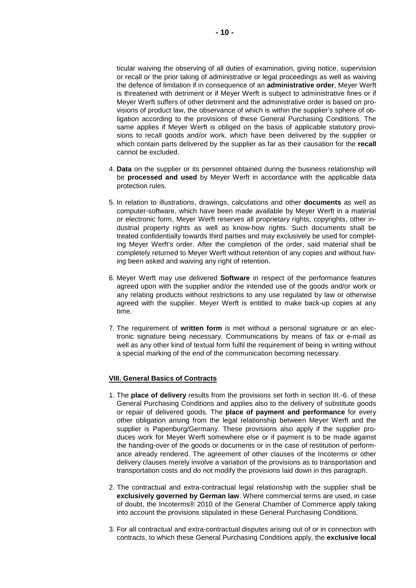ticular waiving the observing of all duties of examination, giving notice, supervision or recall or the prior taking of administrative or legal proceedings as well as waiving the defence of limitation if in consequence of an **administrative order**, Meyer Werft is threatened with detriment or if Meyer Werft is subject to administrative fines or if Meyer Werft suffers of other detriment and the administrative order is based on provisions of product law, the observance of which is within the supplier's sphere of obligation according to the provisions of these General Purchasing Conditions. The same applies if Meyer Werft is obliged on the basis of applicable statutory provisions to recall goods and/or work, which have been delivered by the supplier or which contain parts delivered by the supplier as far as their causation for the **recall**  cannot be excluded.

- 4. **Data** on the supplier or its personnel obtained during the business relationship will be **processed and used** by Meyer Werft in accordance with the applicable data protection rules.
- 5. In relation to illustrations, drawings, calculations and other **documents** as well as computer-software, which have been made available by Meyer Werft in a material or electronic form, Meyer Werft reserves all proprietary rights, copyrights, other industrial property rights as well as know-how rights. Such documents shall be treated confidentially towards third parties and may exclusively be used for completing Meyer Werft's order. After the completion of the order, said material shall be completely returned to Meyer Werft without retention of any copies and without having been asked and waiving any right of retention.
- 6. Meyer Werft may use delivered **Software** in respect of the performance features agreed upon with the supplier and/or the intended use of the goods and/or work or any relating products without restrictions to any use regulated by law or otherwise agreed with the supplier. Meyer Werft is entitled to make back-up copies at any time.
- 7. The requirement of **written form** is met without a personal signature or an electronic signature being necessary. Communications by means of fax or e-mail as well as any other kind of textual form fulfil the requirement of being in writing without a special marking of the end of the communication becoming necessary.

# **VIII. General Basics of Contracts**

- 1. The **place of delivery** results from the provisions set forth in section III.-6. of these General Purchasing Conditions and applies also to the delivery of substitute goods or repair of delivered goods. The **place of payment and performance** for every other obligation arising from the legal relationship between Meyer Werft and the supplier is Papenburg/Germany. These provisions also apply if the supplier produces work for Meyer Werft somewhere else or if payment is to be made against the handing-over of the goods or documents or in the case of restitution of performance already rendered. The agreement of other clauses of the Incoterms or other delivery clauses merely involve a variation of the provisions as to transportation and transportation costs and do not modify the provisions laid down in this paragraph.
- 2. The contractual and extra-contractual legal relationship with the supplier shall be **exclusively governed by German law**. Where commercial terms are used, in case of doubt, the Incoterms® 2010 of the General Chamber of Commerce apply taking into account the provisions stipulated in these General Purchasing Conditions.
- 3. For all contractual and extra-contractual disputes arising out of or in connection with contracts, to which these General Purchasing Conditions apply, the **exclusive local**